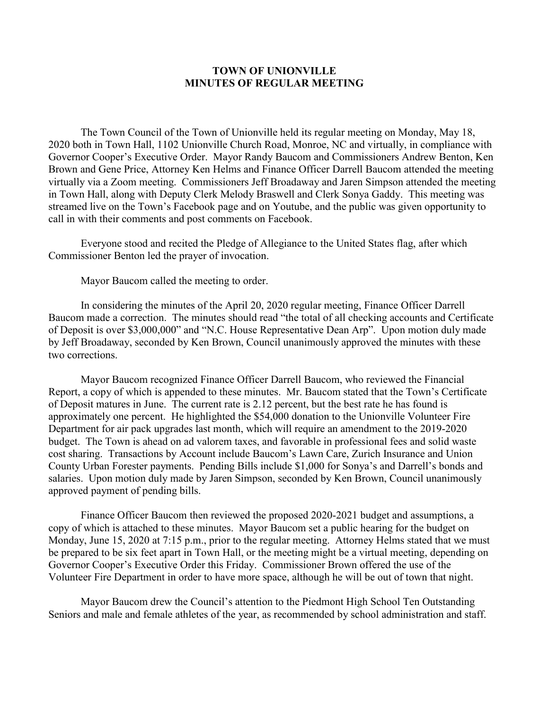## **TOWN OF UNIONVILLE MINUTES OF REGULAR MEETING**

The Town Council of the Town of Unionville held its regular meeting on Monday, May 18, 2020 both in Town Hall, 1102 Unionville Church Road, Monroe, NC and virtually, in compliance with Governor Cooper's Executive Order. Mayor Randy Baucom and Commissioners Andrew Benton, Ken Brown and Gene Price, Attorney Ken Helms and Finance Officer Darrell Baucom attended the meeting virtually via a Zoom meeting. Commissioners Jeff Broadaway and Jaren Simpson attended the meeting in Town Hall, along with Deputy Clerk Melody Braswell and Clerk Sonya Gaddy. This meeting was streamed live on the Town's Facebook page and on Youtube, and the public was given opportunity to call in with their comments and post comments on Facebook.

Everyone stood and recited the Pledge of Allegiance to the United States flag, after which Commissioner Benton led the prayer of invocation.

Mayor Baucom called the meeting to order.

In considering the minutes of the April 20, 2020 regular meeting, Finance Officer Darrell Baucom made a correction. The minutes should read "the total of all checking accounts and Certificate of Deposit is over \$3,000,000" and "N.C. House Representative Dean Arp". Upon motion duly made by Jeff Broadaway, seconded by Ken Brown, Council unanimously approved the minutes with these two corrections.

Mayor Baucom recognized Finance Officer Darrell Baucom, who reviewed the Financial Report, a copy of which is appended to these minutes. Mr. Baucom stated that the Town's Certificate of Deposit matures in June. The current rate is 2.12 percent, but the best rate he has found is approximately one percent. He highlighted the \$54,000 donation to the Unionville Volunteer Fire Department for air pack upgrades last month, which will require an amendment to the 2019-2020 budget. The Town is ahead on ad valorem taxes, and favorable in professional fees and solid waste cost sharing. Transactions by Account include Baucom's Lawn Care, Zurich Insurance and Union County Urban Forester payments. Pending Bills include \$1,000 for Sonya's and Darrell's bonds and salaries. Upon motion duly made by Jaren Simpson, seconded by Ken Brown, Council unanimously approved payment of pending bills.

Finance Officer Baucom then reviewed the proposed 2020-2021 budget and assumptions, a copy of which is attached to these minutes. Mayor Baucom set a public hearing for the budget on Monday, June 15, 2020 at 7:15 p.m., prior to the regular meeting. Attorney Helms stated that we must be prepared to be six feet apart in Town Hall, or the meeting might be a virtual meeting, depending on Governor Cooper's Executive Order this Friday. Commissioner Brown offered the use of the Volunteer Fire Department in order to have more space, although he will be out of town that night.

Mayor Baucom drew the Council's attention to the Piedmont High School Ten Outstanding Seniors and male and female athletes of the year, as recommended by school administration and staff.